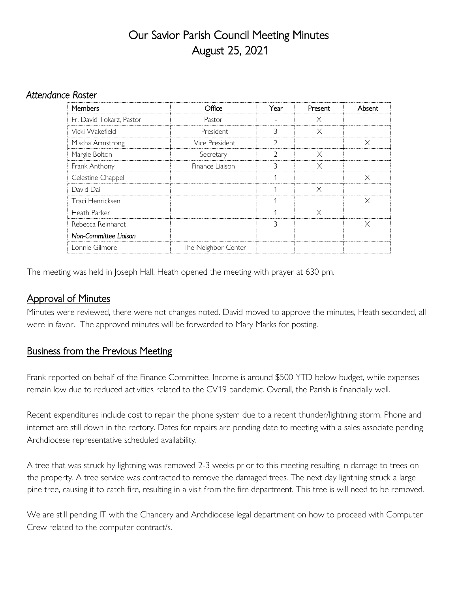# Our Savior Parish Council Meeting Minutes August 25, 2021

#### *Attendance Roster*

| <b>Members</b>           | Office              | Year | Present  | Absent   |
|--------------------------|---------------------|------|----------|----------|
| Fr. David Tokarz, Pastor | Pastor              |      | $\times$ |          |
| Vicki Wakefield          | <b>President</b>    | 3    | $\times$ |          |
| Mischa Armstrong         | Vice President      | C    |          | X        |
| Margie Bolton            | Secretary           | フ    | $\times$ |          |
| Frank Anthony            | Finance Liaison     |      | $\times$ |          |
| Celestine Chappell       |                     | л    |          | X        |
| David Dai                |                     |      | X        |          |
| Traci Henricksen         |                     |      |          | $\times$ |
| Heath Parker             |                     |      | X        |          |
| Rebecca Reinhardt        |                     | 3    |          | $\times$ |
| Non-Committee Ligison    |                     |      |          |          |
| Lonnie Gilmore           | The Neighbor Center |      |          |          |

The meeting was held in Joseph Hall. Heath opened the meeting with prayer at 630 pm.

## Approval of Minutes

Minutes were reviewed, there were not changes noted. David moved to approve the minutes, Heath seconded, all were in favor. The approved minutes will be forwarded to Mary Marks for posting.

### Business from the Previous Meeting

Frank reported on behalf of the Finance Committee. Income is around \$500 YTD below budget, while expenses remain low due to reduced activities related to the CV19 pandemic. Overall, the Parish is financially well.

Recent expenditures include cost to repair the phone system due to a recent thunder/lightning storm. Phone and internet are still down in the rectory. Dates for repairs are pending date to meeting with a sales associate pending Archdiocese representative scheduled availability.

A tree that was struck by lightning was removed 2-3 weeks prior to this meeting resulting in damage to trees on the property. A tree service was contracted to remove the damaged trees. The next day lightning struck a large pine tree, causing it to catch fire, resulting in a visit from the fire department. This tree is will need to be removed.

We are still pending IT with the Chancery and Archdiocese legal department on how to proceed with Computer Crew related to the computer contract/s.